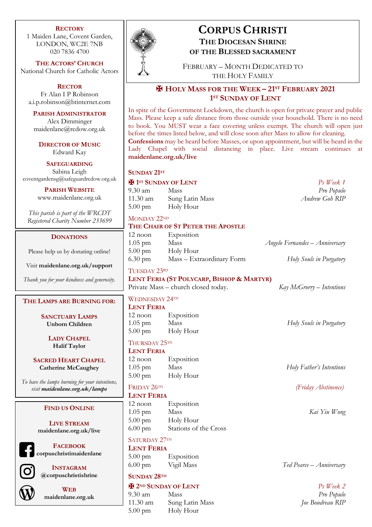### **RECTORY**

1 Maiden Lane, Covent Garden, LONDON, WC2E 7NB 020 7836 4700

**THE ACTORS' CHURCH** National Church for Catholic Actors

**RECTOR** Fr Alan I P Robinson a.i.p.robinson@btinternet.com

**PARISH ADMINISTRATOR** Alex Dimminger maidenlane@rcdow.org.uk

**DIRECTOR OF MUSIC** Edward Kay

**SAFEGUARDING** Sabina Leigh coventgardensg@safeguardrcdow.org.uk

> **PARISH WEBSITE** www.maidenlane.org.uk

*This parish is part of the WRCDT Registered Charity Number 233699*

### **DONATIONS**

Please help us by donating online!

Visit **maidenlane.org.uk/support**

*Thank you for your kindness and generosity.*

### **THE LAMPS ARE BURNING FOR:**

**SANCTUARY LAMPS Unborn Children**

> **LADY CHAPEL Halif Taylor**

**SACRED HEART CHAPEL Catherine McCaughey**

*To have the lamps burning for your intentions, visit maidenlane.org.uk/lamps*

### **FIND US ONLINE**

**LIVE STREAM maidenlane.org.uk/live**

**FACEBOOK corpuschristimaidenlane**



**INSTAGRAM @corpuschristishrine**



**WEB maidenlane.org.uk**



# **CORPUS CHRISTI THE DIOCESAN SHRINE OF THE BLESSED SACRAMENT**

FEBRUARY – MONTH DEDICATED TO THE HOLY FAMILY

# ✠ **HOLY MASS FOR THE WEEK – 21ST FEBRUARY 2021 1ST SUNDAY OF LENT**

In spite of the Government Lockdown, the church is open for private prayer and public Mass. Please keep a safe distance from those outside your household. There is no need to book. You MUST wear a face covering unless exempt. The church will open just before the times listed below, and will close soon after Mass to allow for cleaning. **Confessions** may be heard before Masses, or upon appointment, but will be heard in the Lady Chapel with social distancing in place. Live stream continues at **maidenlane.org.uk/live**

**SUNDAY 21ST**

# ✠ **1ST SUNDAY OF LENT** *Ps Week 1*

9.30 am Mass *Pro Populo* 11.30 am Sung Latin Mass *Andrew Goh RIP* 5.00 pm Holy Hour

MONDAY 22ND

### **THE CHAIR OF ST PETER THE APOSTLE**

| 12 noon           | Exposition                |                                |
|-------------------|---------------------------|--------------------------------|
| $1.05$ pm         | Mass                      | Angelo Fernandes – Anniversary |
| $5.00 \text{ pm}$ | Holy Hour                 |                                |
| 6.30 pm           | Mass – Extraordinary Form | Holy Souls in Purgatory        |

# TUESDAY 23RD

**LENT FERIA (ST POLYCARP, BISHOP & MARTYR)** Private Mass – church closed today. *Kay McGrorry – Intentions*

WEDNESDAY 24TH

# **LENT FERIA**

12 noon Exposition 1.05 pm Mass *Holy Souls in Purgatory* 5.00 pm Holy Hour

## THURSDAY 25TH

**LENT FERIA**

12 noon Exposition 1.05 pm Mass *Holy Father's Intentions* 5.00 pm Holy Hour

# **LENT FERIA**

12 noon Exposition 1.05 pm Mass *Kai Yiu Wong* 5.00 pm Holy Hour 6.00 pm Stations of the Cross

# SATURDAY 27TH

**LENT FERIA**

5.00 pm Exposition 6.00 pm Vigil Mass *Ted Pearce – Anniversary* 

# **SUNDAY 28TH**

# ✠ **2ND SUNDAY OF LENT** *Ps Week 2*

9.30 am Mass *Pro Populo* 11.30 am Sung Latin Mass *Joe Boudreau RIP* 5.00 pm Holy Hour

FRIDAY 26TH *(Friday Abstinence)*